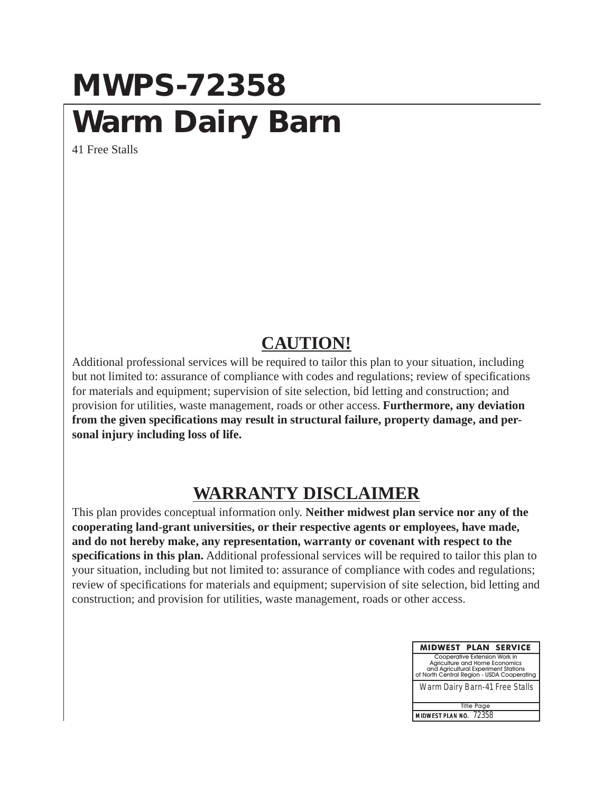## **MWPS-72358 Warm Dairy Barn**

41 Free Stalls

## **CAUTION!**

Additional professional services will be required to tailor this plan to your situation, including but not limited to: assurance of compliance with codes and regulations; review of specifications for materials and equipment; supervision of site selection, bid letting and construction; and provision for utilities, waste management, roads or other access. **Furthermore, any deviation from the given specifications may result in structural failure, property damage, and personal injury including loss of life.**

## **WARRANTY DISCLAIMER**

This plan provides conceptual information only. **Neither midwest plan service nor any of the cooperating land-grant universities, or their respective agents or employees, have made, and do not hereby make, any representation, warranty or covenant with respect to the specifications in this plan.** Additional professional services will be required to tailor this plan to your situation, including but not limited to: assurance of compliance with codes and regulations; review of specifications for materials and equipment; supervision of site selection, bid letting and construction; and provision for utilities, waste management, roads or other access.

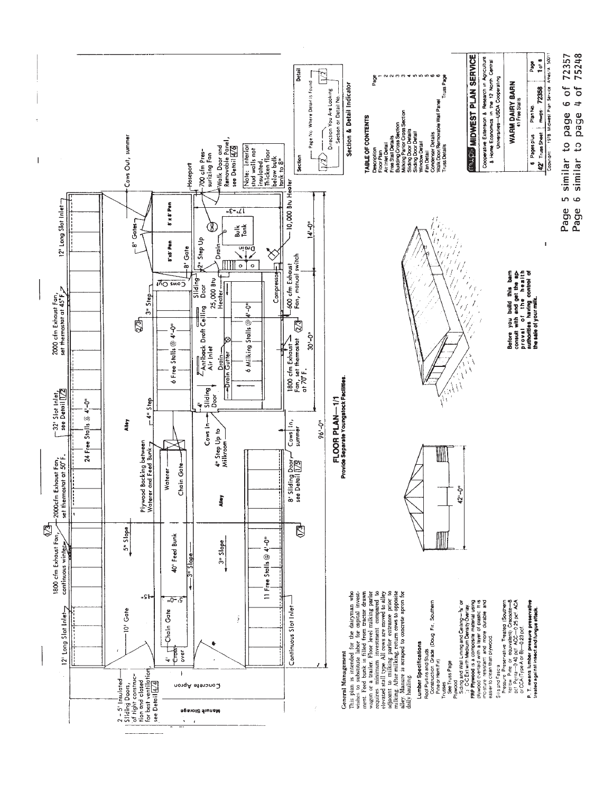

75248 6 similar to page 4 of

5 similar to page 6 of 72357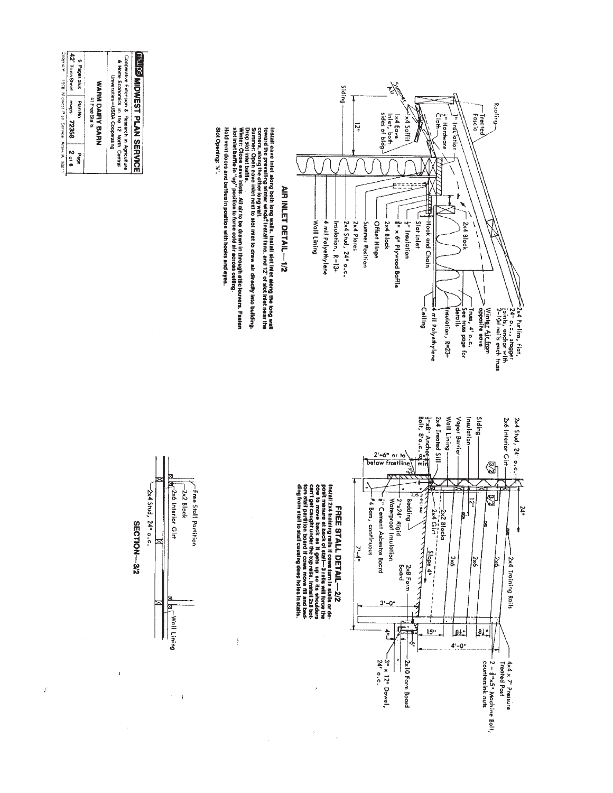

Install eave inlet along both long walls. Install set inlet along the bong wall<br>corrers, along valuing winter winds! Install fans, and 12' of slot inlet alar the<br>corrers, along valing winter winds! Install fans, and 12' of

Hold vent doors and baffles in position with hooks and eyes. Winter: Close eave inlets. Ali air to be drawn in through attic <del>iouvers. Fasten</del><br>slot inlet baffle in "up" position to force cold air across celing.

Slot Opening: W.





Ť

 $\ddot{\phantom{a}}$ 



Ź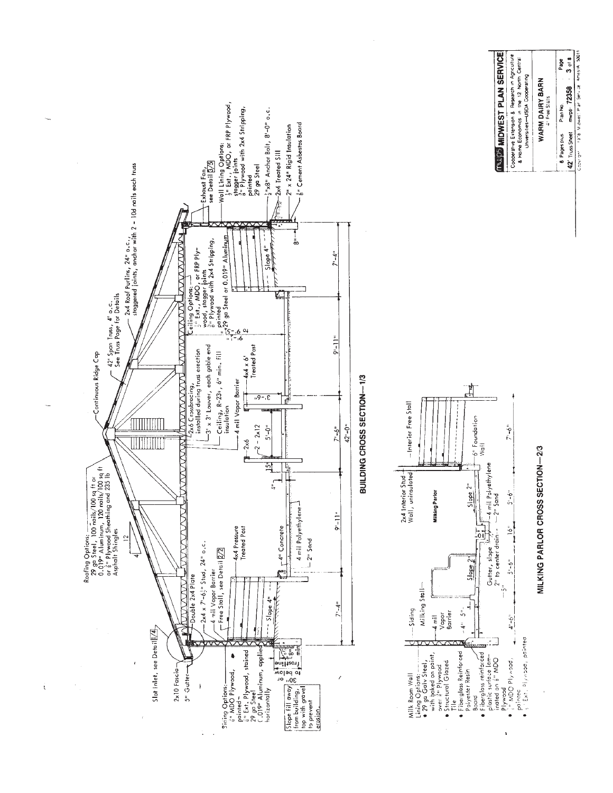

ı

ï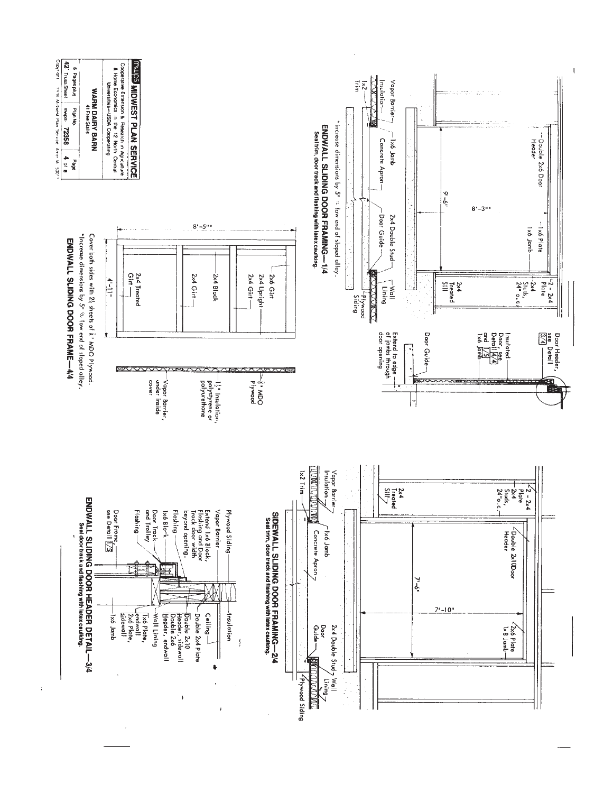

 $\hat{\boldsymbol{\theta}}$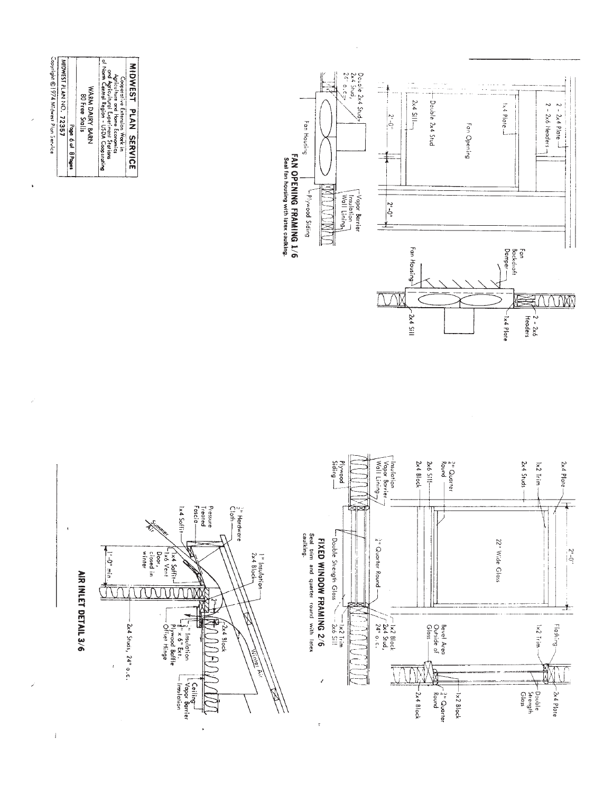

l,

 $\overline{\phantom{a}}$